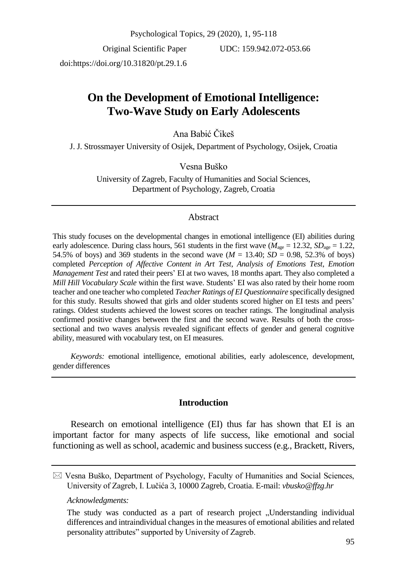Psychological Topics, 29 (2020), 1, 95-118

Original Scientific Paper

UDC: 159.942.072-053.66

doi:https://doi.org/10.31820/pt.29.1.6

# **On the Development of Emotional Intelligence: Two-Wave Study on Early Adolescents**

Ana Babić Čikeš

J. J. Strossmayer University of Osijek, Department of Psychology, Osijek, Croatia

# Vesna Buško

University of Zagreb, Faculty of Humanities and Social Sciences, Department of Psychology, Zagreb, Croatia

# Abstract

This study focuses on the developmental changes in emotional intelligence (EI) abilities during early adolescence. During class hours, 561 students in the first wave  $(M<sub>ave</sub> = 12.32, SD<sub>ave</sub> = 1.22,$ 54.5% of boys) and 369 students in the second wave  $(M = 13.40; SD = 0.98, 52.3%$  of boys) completed *Perception of Affective Content in Art Test*, *Analysis of Emotions Test*, *Emotion Management Test* and rated their peers' EI at two waves, 18 months apart. They also completed a *Mill Hill Vocabulary Scale* within the first wave. Students' EI was also rated by their home room teacher and one teacher who completed *Teacher Ratings of EI Questionnaire* specifically designed for this study. Results showed that girls and older students scored higher on EI tests and peers' ratings. Oldest students achieved the lowest scores on teacher ratings. The longitudinal analysis confirmed positive changes between the first and the second wave. Results of both the crosssectional and two waves analysis revealed significant effects of gender and general cognitive ability, measured with vocabulary test, on EI measures.

*Keywords:* emotional intelligence, emotional abilities, early adolescence, development, gender differences

# **Introduction**

Research on emotional intelligence (EI) thus far has shown that EI is an important factor for many aspects of life success, like emotional and social functioning as well as school, academic and business success (e.g., Brackett, Rivers,

 $\boxtimes$  Vesna Buško, Department of Psychology, Faculty of Humanities and Social Sciences, University of Zagreb, I. Lučića 3, 10000 Zagreb, Croatia. E-mail: *vbusko@ffzg.hr*

*Acknowledgments:*

The study was conducted as a part of research project "Understanding individual" differences and intraindividual changes in the measures of emotional abilities and related personality attributes" supported by University of Zagreb.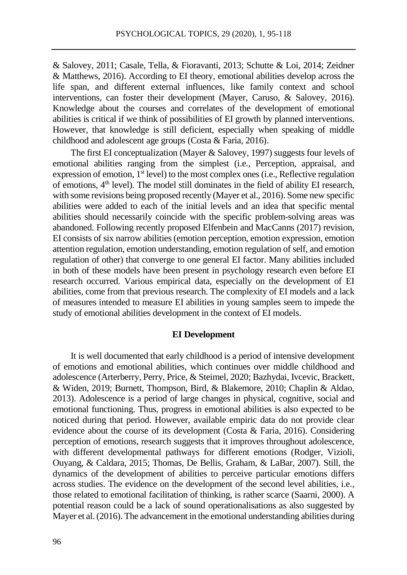& Salovey, 2011; Casale, Tella, & Fioravanti, 2013; Schutte & Loi, 2014; Zeidner & Matthews, 2016). According to EI theory, emotional abilities develop across the life span, and different external influences, like family context and school interventions, can foster their development (Mayer, Caruso, & Salovey, 2016). Knowledge about the courses and correlates of the development of emotional abilities is critical if we think of possibilities of EI growth by planned interventions. However, that knowledge is still deficient, especially when speaking of middle childhood and adolescent age groups (Costa & Faria, 2016).

The first EI conceptualization (Mayer & Salovey, 1997) suggests four levels of emotional abilities ranging from the simplest (i.e., Perception, appraisal, and expression of emotion, 1<sup>st</sup> level) to the most complex ones (i.e., Reflective regulation of emotions, 4<sup>th</sup> level). The model still dominates in the field of ability EI research, with some revisions being proposed recently (Mayer et al., 2016). Some new specific abilities were added to each of the initial levels and an idea that specific mental abilities should necessarily coincide with the specific problem-solving areas was abandoned. Following recently proposed Elfenbein and MacCanns (2017) revision, EI consists of six narrow abilities (emotion perception, emotion expression, emotion attention regulation, emotion understanding, emotion regulation of self, and emotion regulation of other) that converge to one general EI factor. Many abilities included in both of these models have been present in psychology research even before EI research occurred. Various empirical data, especially on the development of EI abilities, come from that previous research. The complexity of EI models and a lack of measures intended to measure EI abilities in young samples seem to impede the study of emotional abilities development in the context of EI models.

## **EI Development**

It is well documented that early childhood is a period of intensive development of emotions and emotional abilities, which continues over middle childhood and adolescence (Arterberry, Perry, Price, & Steimel, 2020; Bazhydai, Ivcevic, Brackett, & Widen, 2019; Burnett, Thompson, Bird, & Blakemore, 2010; Chaplin & Aldao, 2013). Adolescence is a period of large changes in physical, cognitive, social and emotional functioning. Thus, progress in emotional abilities is also expected to be noticed during that period. However, available empiric data do not provide clear evidence about the course of its development (Costa & Faria, 2016). Considering perception of emotions, research suggests that it improves throughout adolescence, with different developmental pathways for different emotions (Rodger, Vizioli, Ouyang, & Caldara, 2015; Thomas, De Bellis, Graham, & LaBar, 2007). Still, the dynamics of the development of abilities to perceive particular emotions differs across studies. The evidence on the development of the second level abilities, i.e., those related to emotional facilitation of thinking, is rather scarce (Saarni, 2000). A potential reason could be a lack of sound operationalisations as also suggested by Mayer et al. (2016). The advancement in the emotional understanding abilities during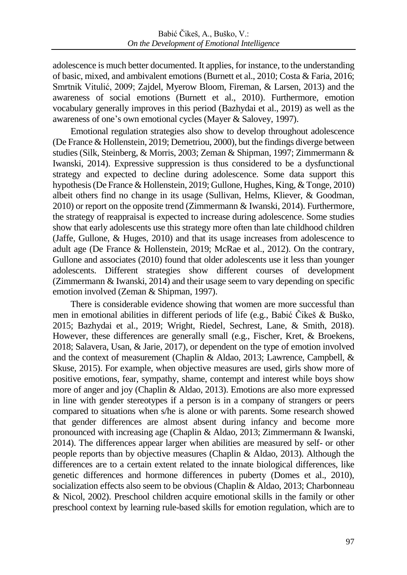adolescence is much better documented. It applies, for instance, to the understanding of basic, mixed, and ambivalent emotions (Burnett et al., 2010; Costa & Faria, 2016; Smrtnik Vitulić, 2009; Zajdel, Myerow Bloom, Fireman, & Larsen, 2013) and the awareness of social emotions (Burnett et al., 2010). Furthermore, emotion vocabulary generally improves in this period (Bazhydai et al., 2019) as well as the awareness of one's own emotional cycles (Mayer & Salovey, 1997).

Emotional regulation strategies also show to develop throughout adolescence (De France & Hollenstein, 2019; Demetriou, 2000), but the findings diverge between studies (Silk, Steinberg, & Morris, 2003; Zeman & Shipman, 1997; Zimmermann & Iwanski, 2014). Expressive suppression is thus considered to be a dysfunctional strategy and expected to decline during adolescence. Some data support this hypothesis (De France & Hollenstein, 2019; Gullone, Hughes, King, & Tonge, 2010) albeit others find no change in its usage (Sullivan, Helms, Kliever, & Goodman, 2010) or report on the opposite trend (Zimmermann & Iwanski, 2014). Furthermore, the strategy of reappraisal is expected to increase during adolescence. Some studies show that early adolescents use this strategy more often than late childhood children (Jaffe, Gullone, & Huges, 2010) and that its usage increases from adolescence to adult age (De France & Hollenstein, 2019; McRae et al., 2012). On the contrary, Gullone and associates (2010) found that older adolescents use it less than younger adolescents. Different strategies show different courses of development (Zimmermann & Iwanski, 2014) and their usage seem to vary depending on specific emotion involved (Zeman & Shipman, 1997).

There is considerable evidence showing that women are more successful than men in emotional abilities in different periods of life (e.g., Babić Čikeš & Buško, 2015; Bazhydai et al., 2019; Wright, Riedel, Sechrest, Lane, & Smith, 2018). However, these differences are generally small (e.g., Fischer, Kret, & Broekens, 2018; Salavera, Usan, & Jarie, 2017), or dependent on the type of emotion involved and the context of measurement (Chaplin & Aldao, 2013; Lawrence, Campbell, & Skuse, 2015). For example, when objective measures are used, girls show more of positive emotions, fear, sympathy, shame, contempt and interest while boys show more of anger and joy (Chaplin & Aldao, 2013). Emotions are also more expressed in line with gender stereotypes if a person is in a company of strangers or peers compared to situations when s/he is alone or with parents. Some research showed that gender differences are almost absent during infancy and become more pronounced with increasing age (Chaplin & Aldao, 2013; Zimmermann & Iwanski, 2014). The differences appear larger when abilities are measured by self- or other people reports than by objective measures (Chaplin & Aldao, 2013). Although the differences are to a certain extent related to the innate biological differences, like genetic differences and hormone differences in puberty (Domes et al., 2010), socialization effects also seem to be obvious (Chaplin & Aldao, 2013; Charbonneau & Nicol, 2002). Preschool children acquire emotional skills in the family or other preschool context by learning rule-based skills for emotion regulation, which are to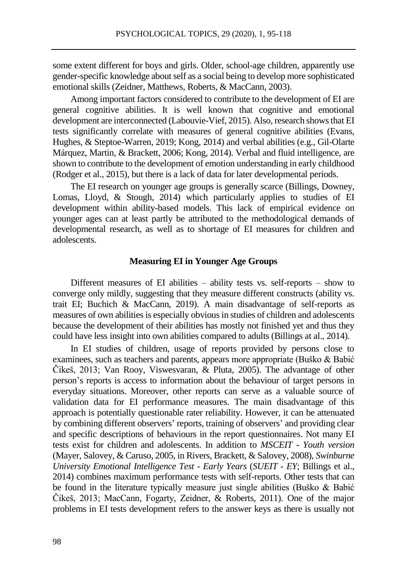some extent different for boys and girls. Older, school-age children, apparently use gender-specific knowledge about self as a social being to develop more sophisticated emotional skills (Zeidner, Matthews, Roberts, & MacCann, 2003).

Among important factors considered to contribute to the development of EI are general cognitive abilities. It is well known that cognitive and emotional development are interconnected (Labouvie-Vief, 2015). Also, research shows that EI tests significantly correlate with measures of general cognitive abilities (Evans, Hughes, & Steptoe-Warren, 2019; Kong, 2014) and verbal abilities (e.g., Gil-Olarte Márquez, Martin, & Brackett, 2006; Kong, 2014). Verbal and fluid intelligence, are shown to contribute to the development of emotion understanding in early childhood (Rodger et al., 2015), but there is a lack of data for later developmental periods.

The EI research on younger age groups is generally scarce (Billings, Downey, Lomas, Lloyd, & Stough, 2014) which particularly applies to studies of EI development within ability-based models. This lack of empirical evidence on younger ages can at least partly be attributed to the methodological demands of developmental research, as well as to shortage of EI measures for children and adolescents.

#### **Measuring EI in Younger Age Groups**

Different measures of EI abilities – ability tests vs. self-reports – show to converge only mildly, suggesting that they measure different constructs (ability vs. trait EI; Buchich & MacCann, 2019). A main disadvantage of self-reports as measures of own abilities is especially obvious in studies of children and adolescents because the development of their abilities has mostly not finished yet and thus they could have less insight into own abilities compared to adults (Billings at al., 2014).

In EI studies of children, usage of reports provided by persons close to examinees, such as teachers and parents, appears more appropriate (Buško & Babić Čikeš, 2013; Van Rooy, Viswesvaran, & Pluta, 2005). The advantage of other person's reports is access to information about the behaviour of target persons in everyday situations. Moreover, other reports can serve as a valuable source of validation data for EI performance measures. The main disadvantage of this approach is potentially questionable rater reliability. However, it can be attenuated by combining different observers' reports, training of observers' and providing clear and specific descriptions of behaviours in the report questionnaires. Not many EI tests exist for children and adolescents. In addition to *MSCEIT - Youth version* (Mayer, Salovey, & Caruso, 2005, in Rivers, Brackett, & Salovey, 2008), *Swinburne University Emotional Intelligence Test* - *Early Years* (*SUEIT - EY*; Billings et al., 2014) combines maximum performance tests with self-reports. Other tests that can be found in the literature typically measure just single abilities (Buško & Babić Čikeš, 2013; MacCann, Fogarty, Zeidner, & Roberts, 2011). One of the major problems in EI tests development refers to the answer keys as there is usually not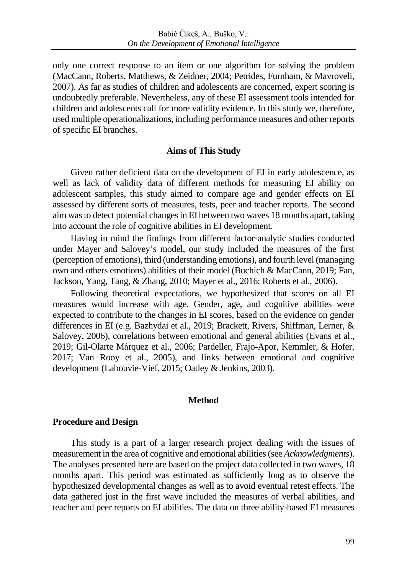only one correct response to an item or one algorithm for solving the problem (MacCann, Roberts, Matthews, & Zeidner, 2004; Petrides, Furnham, & Mavroveli, 2007). As far as studies of children and adolescents are concerned, expert scoring is undoubtedly preferable. Nevertheless, any of these EI assessment tools intended for children and adolescents call for more validity evidence. In this study we, therefore, used multiple operationalizations, including performance measures and other reports of specific EI branches.

#### **Aims of This Study**

Given rather deficient data on the development of EI in early adolescence, as well as lack of validity data of different methods for measuring EI ability on adolescent samples, this study aimed to compare age and gender effects on EI assessed by different sorts of measures, tests, peer and teacher reports. The second aim was to detect potential changes in EI between two waves 18 months apart, taking into account the role of cognitive abilities in EI development.

Having in mind the findings from different factor-analytic studies conducted under Mayer and Salovey's model, our study included the measures of the first (perception of emotions), third (understanding emotions), and fourth level (managing own and others emotions) abilities of their model (Buchich & MacCann, 2019; Fan, Jackson, Yang, Tang, & Zhang, 2010; Mayer et al., 2016; Roberts et al., 2006).

Following theoretical expectations, we hypothesized that scores on all EI measures would increase with age. Gender, age, and cognitive abilities were expected to contribute to the changes in EI scores, based on the evidence on gender differences in EI (e.g. Bazhydai et al., 2019; Brackett, Rivers, Shiffman, Lerner, & Salovey, 2006), correlations between emotional and general abilities (Evans et al., 2019; Gil-Olarte Márquez et al., 2006; Pardeller, Frajo-Apor, Kemmler, & Hofer, 2017; Van Rooy et al., 2005), and links between emotional and cognitive development (Labouvie-Vief, 2015; Oatley & Jenkins, 2003).

#### **Method**

#### **Procedure and Design**

This study is a part of a larger research project dealing with the issues of measurement in the area of cognitive and emotional abilities (see *Acknowledgments*). The analyses presented here are based on the project data collected in two waves, 18 months apart. This period was estimated as sufficiently long as to observe the hypothesized developmental changes as well as to avoid eventual retest effects. The data gathered just in the first wave included the measures of verbal abilities, and teacher and peer reports on EI abilities. The data on three ability-based EI measures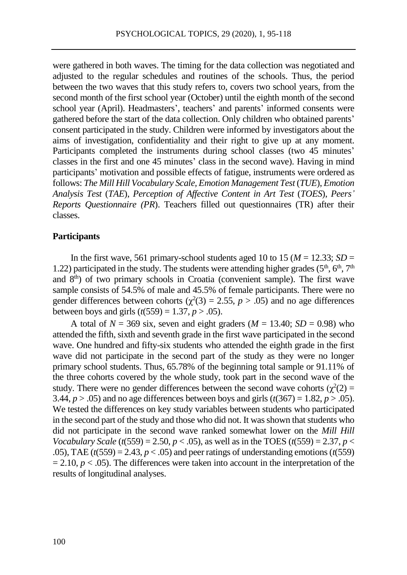were gathered in both waves. The timing for the data collection was negotiated and adjusted to the regular schedules and routines of the schools. Thus, the period between the two waves that this study refers to, covers two school years, from the second month of the first school year (October) until the eighth month of the second school year (April). Headmasters', teachers' and parents' informed consents were gathered before the start of the data collection. Only children who obtained parents' consent participated in the study. Children were informed by investigators about the aims of investigation, confidentiality and their right to give up at any moment. Participants completed the instruments during school classes (two 45 minutes' classes in the first and one 45 minutes' class in the second wave). Having in mind participants' motivation and possible effects of fatigue, instruments were ordered as follows: *The Mill Hill Vocabulary Scale, Emotion Management Test* (*TUE*), *Emotion Analysis Test* (*TAE*), *Perception of Affective Content in Art Test* (*TOES*), *Peers' Reports Questionnaire (PR*). Teachers filled out questionnaires (TR) after their classes.

# **Participants**

In the first wave, 561 primary-school students aged 10 to 15 ( $M = 12.33$ ;  $SD =$ 1.22) participated in the study. The students were attending higher grades ( $5<sup>th</sup>$ ,  $6<sup>th</sup>$ ,  $7<sup>th</sup>$ and  $8<sup>th</sup>$ ) of two primary schools in Croatia (convenient sample). The first wave sample consists of 54.5% of male and 45.5% of female participants. There were no gender differences between cohorts ( $\chi^2(3) = 2.55$ ,  $p > .05$ ) and no age differences between boys and girls  $(t(559) = 1.37, p > .05)$ .

A total of  $N = 369$  six, seven and eight graders ( $M = 13.40$ ;  $SD = 0.98$ ) who attended the fifth, sixth and seventh grade in the first wave participated in the second wave. One hundred and fifty-six students who attended the eighth grade in the first wave did not participate in the second part of the study as they were no longer primary school students. Thus, 65.78% of the beginning total sample or 91.11% of the three cohorts covered by the whole study, took part in the second wave of the study. There were no gender differences between the second wave cohorts  $(\chi^2(2) =$ 3.44,  $p > .05$ ) and no age differences between boys and girls  $(t(367) = 1.82, p > .05)$ . We tested the differences on key study variables between students who participated in the second part of the study and those who did not. It was shown that students who did not participate in the second wave ranked somewhat lower on the *Mill Hill Vocabulary Scale* ( $t(559) = 2.50, p < .05$ ), as well as in the TOES ( $t(559) = 2.37, p <$ .05), TAE  $(t(559) = 2.43, p < .05)$  and peer ratings of understanding emotions  $(t(559)$  $= 2.10, p < .05$ ). The differences were taken into account in the interpretation of the results of longitudinal analyses.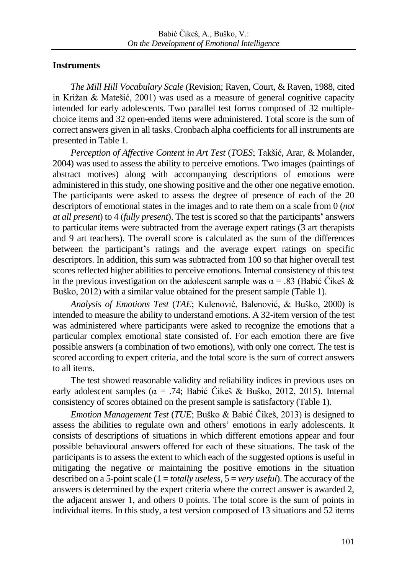# **Instruments**

*The Mill Hill Vocabulary Scale* (Revision; Raven, Court, & Raven, 1988, cited in Križan & Matešić, 2001) was used as a measure of general cognitive capacity intended for early adolescents. Two parallel test forms composed of 32 multiplechoice items and 32 open-ended items were administered. Total score is the sum of correct answers given in all tasks. Cronbach alpha coefficients for all instruments are presented in Table 1.

*Perception of Affective Content in Art Test* (*TOES*; Takšić, Arar, & Molander, 2004) was used to assess the ability to perceive emotions. Two images (paintings of abstract motives) along with accompanying descriptions of emotions were administered in this study, one showing positive and the other one negative emotion. The participants were asked to assess the degree of presence of each of the 20 descriptors of emotional states in the images and to rate them on a scale from 0 (*not at all present*) to 4 (*fully present*). The test is scored so that the participants**'** answers to particular items were subtracted from the average expert ratings (3 art therapists and 9 art teachers). The overall score is calculated as the sum of the differences between the participant**'**s ratings and the average expert ratings on specific descriptors. In addition, this sum was subtracted from 100 so that higher overall test scores reflected higher abilities to perceive emotions. Internal consistency of this test in the previous investigation on the adolescent sample was  $\alpha = .83$  (Babić Čikeš & Buško, 2012) with a similar value obtained for the present sample (Table 1).

*Analysis of Emotions Test* (*TAE*; Kulenović, Balenović, & Buško, 2000) is intended to measure the ability to understand emotions. A 32-item version of the test was administered where participants were asked to recognize the emotions that a particular complex emotional state consisted of. For each emotion there are five possible answers (a combination of two emotions), with only one correct. The test is scored according to expert criteria, and the total score is the sum of correct answers to all items.

The test showed reasonable validity and reliability indices in previous uses on early adolescent samples ( $\alpha$  = .74; Babić Čikeš & Buško, 2012, 2015). Internal consistency of scores obtained on the present sample is satisfactory (Table 1).

*Emotion Management Test* (*TUE*; Buško & Babić Čikeš, 2013) is designed to assess the abilities to regulate own and others' emotions in early adolescents. It consists of descriptions of situations in which different emotions appear and four possible behavioural answers offered for each of these situations. The task of the participants is to assess the extent to which each of the suggested options is useful in mitigating the negative or maintaining the positive emotions in the situation described on a 5-point scale (1 = *totally useless*, 5 = *very useful*). The accuracy of the answers is determined by the expert criteria where the correct answer is awarded 2, the adjacent answer 1, and others 0 points. The total score is the sum of points in individual items. In this study, a test version composed of 13 situations and 52 items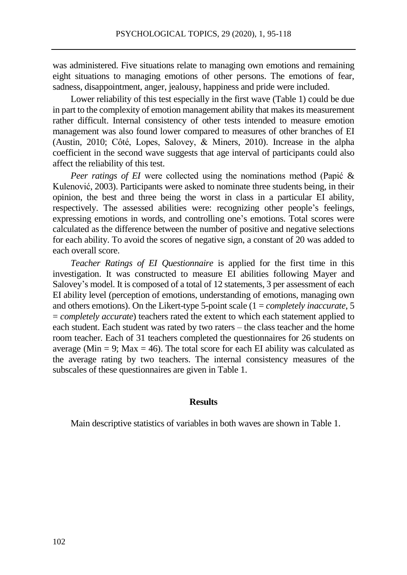was administered. Five situations relate to managing own emotions and remaining eight situations to managing emotions of other persons. The emotions of fear, sadness, disappointment, anger, jealousy, happiness and pride were included.

Lower reliability of this test especially in the first wave (Table 1) could be due in part to the complexity of emotion management ability that makes its measurement rather difficult. Internal consistency of other tests intended to measure emotion management was also found lower compared to measures of other branches of EI (Austin, 2010; Côté, Lopes, Salovey, & Miners, 2010). Increase in the alpha coefficient in the second wave suggests that age interval of participants could also affect the reliability of this test.

*Peer ratings of EI* were collected using the nominations method (Papić & Kulenović, 2003). Participants were asked to nominate three students being, in their opinion, the best and three being the worst in class in a particular EI ability, respectively. The assessed abilities were: recognizing other people's feelings, expressing emotions in words, and controlling one's emotions. Total scores were calculated as the difference between the number of positive and negative selections for each ability. To avoid the scores of negative sign, a constant of 20 was added to each overall score.

*Teacher Ratings of EI Questionnaire* is applied for the first time in this investigation. It was constructed to measure EI abilities following Mayer and Salovey's model. It is composed of a total of 12 statements, 3 per assessment of each EI ability level (perception of emotions, understanding of emotions, managing own and others emotions). On the Likert-type 5-point scale (1 = *completely inaccurate*, 5 = *completely accurate*) teachers rated the extent to which each statement applied to each student. Each student was rated by two raters – the class teacher and the home room teacher. Each of 31 teachers completed the questionnaires for 26 students on average (Min = 9; Max = 46). The total score for each EI ability was calculated as the average rating by two teachers. The internal consistency measures of the subscales of these questionnaires are given in Table 1.

#### **Results**

Main descriptive statistics of variables in both waves are shown in Table 1.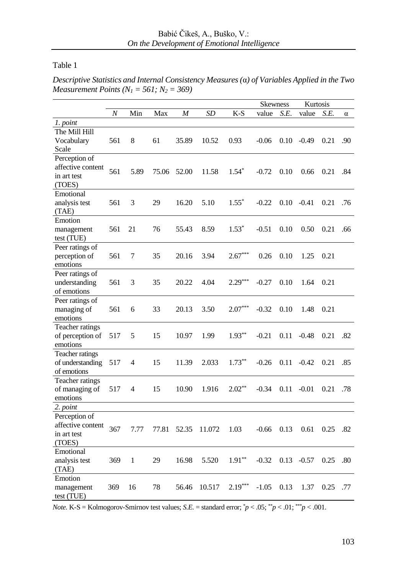Table 1

*Descriptive Statistics and Internal Consistency Measures (*α*) of Variables Applied in the Two Measurement Points* ( $N_1 = 561$ ;  $N_2 = 369$ )

|                   |     |      |       |       |           |           | <b>Skewness</b> |      | Kurtosis |      |     |
|-------------------|-----|------|-------|-------|-----------|-----------|-----------------|------|----------|------|-----|
|                   | N   | Min  | Max   | M     | <b>SD</b> | $K-S$     | value           | S.E. | value    | S.E. | α   |
| 1. point          |     |      |       |       |           |           |                 |      |          |      |     |
| The Mill Hill     |     |      |       |       |           |           |                 |      |          |      |     |
| Vocabulary        | 561 | 8    | 61    | 35.89 | 10.52     | 0.93      | $-0.06$         | 0.10 | $-0.49$  | 0.21 | .90 |
| Scale             |     |      |       |       |           |           |                 |      |          |      |     |
| Perception of     |     |      |       |       |           |           |                 |      |          |      |     |
| affective content | 561 | 5.89 | 75.06 | 52.00 | 11.58     | $1.54*$   | $-0.72$         | 0.10 | 0.66     | 0.21 | .84 |
| in art test       |     |      |       |       |           |           |                 |      |          |      |     |
| (TOES)            |     |      |       |       |           |           |                 |      |          |      |     |
| Emotional         |     |      |       |       |           |           |                 |      |          |      |     |
| analysis test     | 561 | 3    | 29    | 16.20 | 5.10      | $1.55^*$  | $-0.22$         | 0.10 | $-0.41$  | 0.21 | .76 |
| (TAE)             |     |      |       |       |           |           |                 |      |          |      |     |
| Emotion           |     |      |       |       |           |           |                 |      |          |      |     |
| management        | 561 | 21   | 76    | 55.43 | 8.59      | $1.53*$   | $-0.51$         | 0.10 | 0.50     | 0.21 | .66 |
| test (TUE)        |     |      |       |       |           |           |                 |      |          |      |     |
| Peer ratings of   |     |      |       |       |           |           |                 |      |          |      |     |
| perception of     | 561 | 7    | 35    | 20.16 | 3.94      | $2.67***$ | 0.26            | 0.10 | 1.25     | 0.21 |     |
| emotions          |     |      |       |       |           |           |                 |      |          |      |     |
| Peer ratings of   |     |      |       |       |           |           |                 |      |          |      |     |
| understanding     | 561 | 3    | 35    | 20.22 | 4.04      | $2.29***$ | $-0.27$         | 0.10 | 1.64     | 0.21 |     |
| of emotions       |     |      |       |       |           |           |                 |      |          |      |     |
| Peer ratings of   |     |      |       |       |           |           |                 |      |          |      |     |
| managing of       | 561 | 6    | 33    | 20.13 | 3.50      | $2.07***$ | $-0.32$         | 0.10 | 1.48     | 0.21 |     |
| emotions          |     |      |       |       |           |           |                 |      |          |      |     |
| Teacher ratings   |     |      |       |       |           |           |                 |      |          |      |     |
| of perception of  | 517 | 5    | 15    | 10.97 | 1.99      | $1.93**$  | $-0.21$         | 0.11 | $-0.48$  | 0.21 | .82 |
| emotions          |     |      |       |       |           |           |                 |      |          |      |     |
| Teacher ratings   |     |      |       |       |           |           |                 |      |          |      |     |
| of understanding  | 517 | 4    | 15    | 11.39 | 2.033     | $1.73***$ | $-0.26$         | 0.11 | $-0.42$  | 0.21 | .85 |
| of emotions       |     |      |       |       |           |           |                 |      |          |      |     |
| Teacher ratings   |     |      |       |       |           |           |                 |      |          |      |     |
| of managing of    | 517 | 4    | 15    | 10.90 | 1.916     | $2.02***$ | $-0.34$         | 0.11 | $-0.01$  | 0.21 | .78 |
| emotions          |     |      |       |       |           |           |                 |      |          |      |     |
| 2. point          |     |      |       |       |           |           |                 |      |          |      |     |
| Perception of     |     |      |       |       |           |           |                 |      |          |      |     |
| affective content | 367 |      |       |       |           |           |                 |      |          |      | .82 |
| in art test       |     | 7.77 | 77.81 | 52.35 | 11.072    | 1.03      | $-0.66$         | 0.13 | 0.61     | 0.25 |     |
| (TOES)            |     |      |       |       |           |           |                 |      |          |      |     |
| Emotional         |     |      |       |       |           |           |                 |      |          |      |     |
| analysis test     | 369 | 1    | 29    | 16.98 | 5.520     | $1.91***$ | $-0.32$         | 0.13 | $-0.57$  | 0.25 | .80 |
| (TAE)             |     |      |       |       |           |           |                 |      |          |      |     |
| Emotion           |     |      |       |       |           |           |                 |      |          |      |     |
| management        | 369 | 16   | 78    | 56.46 | 10.517    | $2.19***$ | $-1.05$         | 0.13 | 1.37     | 0.25 | .77 |
| test (TUE)        |     |      |       |       |           |           |                 |      |          |      |     |

*Note.* K-S = Kolmogorov-Smirnov test values; *S.E.* = standard error;  $p^*$   $> 0.05$ ;  $p^*$   $> 0.01$ ;  $p^*$   $> 0.001$ .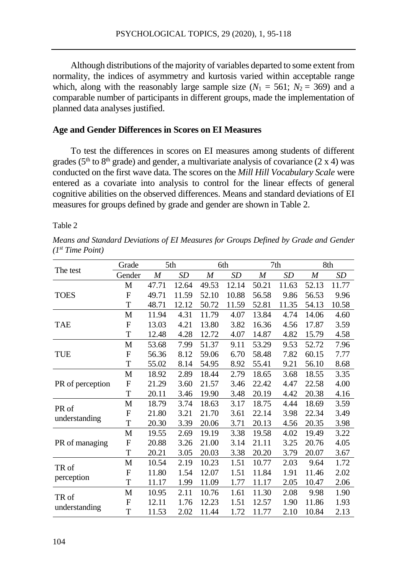Although distributions of the majority of variables departed to some extent from normality, the indices of asymmetry and kurtosis varied within acceptable range which, along with the reasonably large sample size  $(N_1 = 561; N_2 = 369)$  and a comparable number of participants in different groups, made the implementation of planned data analyses justified.

# **Age and Gender Differences in Scores on EI Measures**

To test the differences in scores on EI measures among students of different grades ( $5<sup>th</sup>$  to  $8<sup>th</sup>$  grade) and gender, a multivariate analysis of covariance ( $2 \times 4$ ) was conducted on the first wave data. The scores on the *Mill Hill Vocabulary Scale* were entered as a covariate into analysis to control for the linear effects of general cognitive abilities on the observed differences. Means and standard deviations of EI measures for groups defined by grade and gender are shown in Table 2.

Table 2

*Means and Standard Deviations of EI Measures for Groups Defined by Grade and Gender (1st Time Point)*

|                     | Grade  |                  | 5th   | 6th              |       | 7th              |       | 8th              |       |
|---------------------|--------|------------------|-------|------------------|-------|------------------|-------|------------------|-------|
| The test            | Gender | $\boldsymbol{M}$ | SD    | $\boldsymbol{M}$ | SD    | $\boldsymbol{M}$ | SD    | $\boldsymbol{M}$ | SD    |
|                     | M      | 47.71            | 12.64 | 49.53            | 12.14 | 50.21            | 11.63 | 52.13            | 11.77 |
| <b>TOES</b>         | F      | 49.71            | 11.59 | 52.10            | 10.88 | 56.58            | 9.86  | 56.53            | 9.96  |
|                     | T      | 48.71            | 12.12 | 50.72            | 11.59 | 52.81            | 11.35 | 54.13            | 10.58 |
|                     | M      | 11.94            | 4.31  | 11.79            | 4.07  | 13.84            | 4.74  | 14.06            | 4.60  |
| <b>TAE</b>          | F      | 13.03            | 4.21  | 13.80            | 3.82  | 16.36            | 4.56  | 17.87            | 3.59  |
|                     | T      | 12.48            | 4.28  | 12.72            | 4.07  | 14.87            | 4.82  | 15.79            | 4.58  |
|                     | M      | 53.68            | 7.99  | 51.37            | 9.11  | 53.29            | 9.53  | 52.72            | 7.96  |
| <b>TUE</b>          | F      | 56.36            | 8.12  | 59.06            | 6.70  | 58.48            | 7.82  | 60.15            | 7.77  |
|                     | T      | 55.02            | 8.14  | 54.95            | 8.92  | 55.41            | 9.21  | 56.10            | 8.68  |
| PR of perception    | M      | 18.92            | 2.89  | 18.44            | 2.79  | 18.65            | 3.68  | 18.55            | 3.35  |
|                     | F      | 21.29            | 3.60  | 21.57            | 3.46  | 22.42            | 4.47  | 22.58            | 4.00  |
|                     | T      | 20.11            | 3.46  | 19.90            | 3.48  | 20.19            | 4.42  | 20.38            | 4.16  |
|                     | М      | 18.79            | 3.74  | 18.63            | 3.17  | 18.75            | 4.44  | 18.69            | 3.59  |
| PR of               | F      | 21.80            | 3.21  | 21.70            | 3.61  | 22.14            | 3.98  | 22.34            | 3.49  |
| understanding       | T      | 20.30            | 3.39  | 20.06            | 3.71  | 20.13            | 4.56  | 20.35            | 3.98  |
|                     | M      | 19.55            | 2.69  | 19.19            | 3.38  | 19.58            | 4.02  | 19.49            | 3.22  |
| PR of managing      | F      | 20.88            | 3.26  | 21.00            | 3.14  | 21.11            | 3.25  | 20.76            | 4.05  |
|                     | T      | 20.21            | 3.05  | 20.03            | 3.38  | 20.20            | 3.79  | 20.07            | 3.67  |
|                     | M      | 10.54            | 2.19  | 10.23            | 1.51  | 10.77            | 2.03  | 9.64             | 1.72  |
| TR of<br>perception | F      | 11.80            | 1.54  | 12.07            | 1.51  | 11.84            | 1.91  | 11.46            | 2.02  |
|                     | T      | 11.17            | 1.99  | 11.09            | 1.77  | 11.17            | 2.05  | 10.47            | 2.06  |
|                     | M      | 10.95            | 2.11  | 10.76            | 1.61  | 11.30            | 2.08  | 9.98             | 1.90  |
| TR of               | F      | 12.11            | 1.76  | 12.23            | 1.51  | 12.57            | 1.90  | 11.86            | 1.93  |
| understanding       | T      | 11.53            | 2.02  | 11.44            | 1.72  | 11.77            | 2.10  | 10.84            | 2.13  |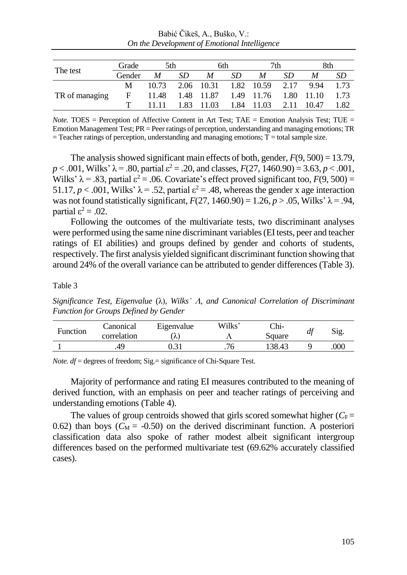Babić Čikeš, A., Buško, V.: *On the Development of Emotional Intelligence*

|                | Grade  | 5th   |       | 6th        |      |            | 7th  | 8th     |      |
|----------------|--------|-------|-------|------------|------|------------|------|---------|------|
| The test       | Gender | M     | SD    | M          | SD   | M          | SD   | M       | SD   |
| TR of managing | М      | 10.73 |       | 2.06 10.31 |      | 1.82 10.59 | 2.17 | 9.94    | 1.73 |
|                | F      | 11.48 |       | 1.48 11.87 |      | 1.49 11.76 | 1.80 | - 11.10 | 1.73 |
|                |        | 11 11 | 1.83. | 11.03      | 1.84 | 11.03      | 2.11 | 10.47   | 1.82 |

*Note.* TOES = Perception of Affective Content in Art Test; TAE = Emotion Analysis Test; TUE = Emotion Management Test; PR = Peer ratings of perception, understanding and managing emotions; TR  $=$  Teacher ratings of perception, understanding and managing emotions; T  $=$  total sample size.

The analysis showed significant main effects of both, gender, *F*(9, 500) = 13.79,  $p < .001$ , Wilks'  $\lambda = .80$ , partial  $\varepsilon^2 = .20$ , and classes,  $F(27, 1460.90) = 3.63$ ,  $p < .001$ , Wilks'  $\lambda = .83$ , partial  $\varepsilon^2 = .06$ . Covariate's effect proved significant too,  $F(9, 500) =$ 51.17,  $p < .001$ , Wilks'  $\lambda = .52$ , partial  $\varepsilon^2 = .48$ , whereas the gender x age interaction was not found statistically significant,  $F(27, 1460.90) = 1.26$ ,  $p > .05$ , Wilks'  $\lambda = .94$ , partial  $\varepsilon^2 = .02$ .

Following the outcomes of the multivariate tests, two discriminant analyses were performed using the same nine discriminant variables (EI tests, peer and teacher ratings of EI abilities) and groups defined by gender and cohorts of students, respectively. The first analysis yielded significant discriminant function showing that around 24% of the overall variance can be attributed to gender differences (Table 3).

Table 3

*Significance Test, Eigenvalue* (λ)*, Wilks' , and Canonical Correlation of Discriminant Function for Groups Defined by Gender*

| Function | Canonical<br>correlation | Eigenvalue | Wilks' | ™i-<br>Square | df | Sig. |
|----------|--------------------------|------------|--------|---------------|----|------|
|          | .49                      |            | .76    | 138.43        |    | 000  |

*Note. df* = degrees of freedom; Sig. = significance of Chi-Square Test.

Majority of performance and rating EI measures contributed to the meaning of derived function, with an emphasis on peer and teacher ratings of perceiving and understanding emotions (Table 4).

The values of group centroids showed that girls scored somewhat higher  $(C_F =$ 0.62) than boys  $(C_M = -0.50)$  on the derived discriminant function. A posteriori classification data also spoke of rather modest albeit significant intergroup differences based on the performed multivariate test (69.62% accurately classified cases).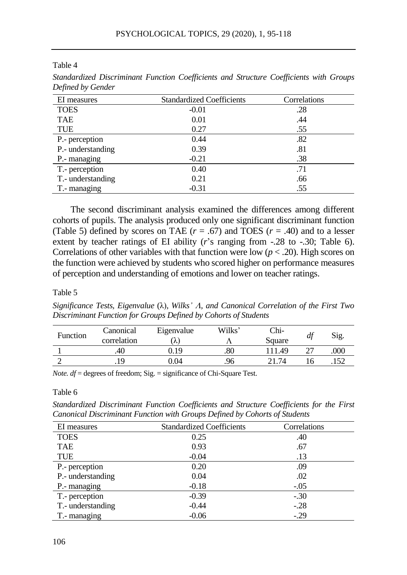Table 4

| EI measures       | <b>Standardized Coefficients</b> | Correlations |
|-------------------|----------------------------------|--------------|
| <b>TOES</b>       | $-0.01$                          | .28          |
| <b>TAE</b>        | 0.01                             | .44          |
| TUE               | 0.27                             | .55          |
| P.- perception    | 0.44                             | .82          |
| P.- understanding | 0.39                             | .81          |
| P.- managing      | $-0.21$                          | .38          |
| T.- perception    | 0.40                             | .71          |
| T.- understanding | 0.21                             | .66          |
| T.- managing      | $-0.31$                          | .55          |

*Standardized Discriminant Function Coefficients and Structure Coefficients with Groups Defined by Gender*

The second discriminant analysis examined the differences among different cohorts of pupils. The analysis produced only one significant discriminant function (Table 5) defined by scores on TAE  $(r = .67)$  and TOES  $(r = .40)$  and to a lesser extent by teacher ratings of EI ability (*r*'s ranging from -.28 to -.30; Table 6). Correlations of other variables with that function were low  $(p < .20)$ . High scores on the function were achieved by students who scored higher on performance measures of perception and understanding of emotions and lower on teacher ratings.

#### Table 5

*Significance Tests, Eigenvalue* (λ)*, Wilks' , and Canonical Correlation of the First Two Discriminant Function for Groups Defined by Cohorts of Students*

| Function | Canonical<br>correlation | Eigenvalue<br>$\sim$ | Wilks' | Chi-<br>Square | df | Sig. |
|----------|--------------------------|----------------------|--------|----------------|----|------|
|          | .4U                      | 0.19                 | .80    | 11.49          |    | .000 |
|          | ١q                       | ).04                 | .96    | 74             |    |      |

*Note. df* = degrees of freedom; Sig. = significance of Chi-Square Test.

#### Table 6

*Standardized Discriminant Function Coefficients and Structure Coefficients for the First Canonical Discriminant Function with Groups Defined by Cohorts of Students*

| EI measures       | <b>Standardized Coefficients</b> | Correlations |
|-------------------|----------------------------------|--------------|
| <b>TOES</b>       | 0.25                             | .40          |
| <b>TAE</b>        | 0.93                             | .67          |
| TUE               | $-0.04$                          | .13          |
| P.- perception    | 0.20                             | .09          |
| P.- understanding | 0.04                             | .02          |
| P.- managing      | $-0.18$                          | $-.05$       |
| T.- perception    | $-0.39$                          | $-.30$       |
| T.- understanding | $-0.44$                          | $-.28$       |
| T.- managing      | $-0.06$                          | $-.29$       |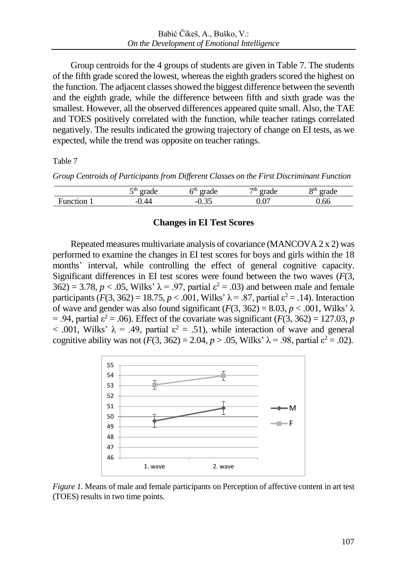Group centroids for the 4 groups of students are given in Table 7. The students of the fifth grade scored the lowest, whereas the eighth graders scored the highest on the function. The adjacent classes showed the biggest difference between the seventh and the eighth grade, while the difference between fifth and sixth grade was the smallest. However, all the observed differences appeared quite small. Also, the TAE and TOES positively correlated with the function, while teacher ratings correlated negatively. The results indicated the growing trajectory of change on EI tests, as we expected, while the trend was opposite on teacher ratings.

Table 7

*Group Centroids of Participants from Different Classes on the First Discriminant Function*

|   | ≂th<br>$\alpha$ req<br>ade<br>ັ | ≤th<br>ora<br>.ae | 7th<br>grade  | oth<br>◟ |
|---|---------------------------------|-------------------|---------------|----------|
| . |                                 | ບ.ບ               | $\sim$<br>v.v |          |

# **Changes in EI Test Scores**

Repeated measures multivariate analysis of covariance (MANCOVA 2 x 2) was performed to examine the changes in EI test scores for boys and girls within the 18 months' interval, while controlling the effect of general cognitive capacity. Significant differences in EI test scores were found between the two waves  $(F(3, \cdot))$  $362$ ) = 3.78, *p* < .05, Wilks'  $\lambda$  = .97, partial  $\varepsilon$ <sup>2</sup> = .03) and between male and female participants  $(F(3, 362) = 18.75, p < .001$ , Wilks'  $\lambda = .87$ , partial  $\varepsilon^2 = .14$ ). Interaction of wave and gender was also found significant  $(F(3, 362) = 8.03, p < .001$ , Wilks'  $\lambda$  $= .94$ , partial  $\varepsilon^2 = .06$ ). Effect of the covariate was significant (*F*(3, 362) = 127.03, *p*  $<$  .001, Wilks' λ = .49, partial ε<sup>2</sup> = .51), while interaction of wave and general cognitive ability was not  $(F(3, 362) = 2.04, p > .05$ , Wilks'  $\lambda = .98$ , partial  $\varepsilon^2 = .02$ ).



*Figure 1.* Means of male and female participants on Perception of affective content in art test (TOES) results in two time points.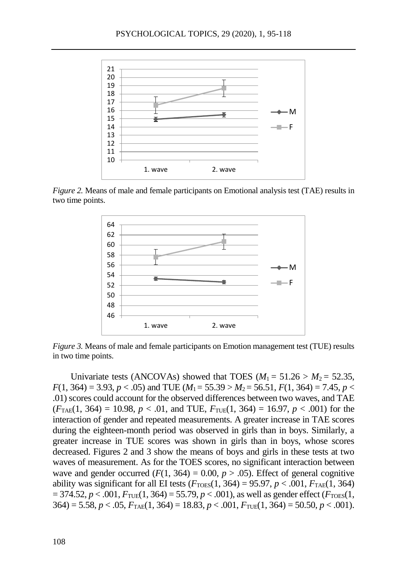

*Figure 2.* Means of male and female participants on Emotional analysis test (TAE) results in two time points.



*Figure 3.* Means of male and female participants on Emotion management test (TUE) results in two time points.

Univariate tests (ANCOVAs) showed that TOES ( $M_1 = 51.26 > M_2 = 52.35$ ,  $F(1, 364) = 3.93$ ,  $p < .05$ ) and TUE  $(M_1 = 55.39 > M_2 = 56.51, F(1, 364) = 7.45, p < .05$ .01) scores could account for the observed differences between two waves, and TAE  $(F_{\text{TAE}}(1, 364) = 10.98, p < .01,$  and TUE,  $F_{\text{TUE}}(1, 364) = 16.97, p < .001$  for the interaction of gender and repeated measurements. A greater increase in TAE scores during the eighteen-month period was observed in girls than in boys. Similarly, a greater increase in TUE scores was shown in girls than in boys, whose scores decreased. Figures 2 and 3 show the means of boys and girls in these tests at two waves of measurement. As for the TOES scores, no significant interaction between wave and gender occurred  $(F(1, 364) = 0.00, p > .05)$ . Effect of general cognitive ability was significant for all EI tests  $(F_{\text{TOES}}(1, 364) = 95.97, p < .001, F_{\text{TAE}}(1, 364)$  $= 374.52, p < .001, F_{\text{TUE}}(1, 364) = 55.79, p < .001$ ), as well as gender effect ( $F_{\text{TOES}}(1, 364)$ )  $364$ ) = 5.58,  $p < .05$ ,  $F_{\text{TAE}}(1, 364) = 18.83$ ,  $p < .001$ ,  $F_{\text{TUE}}(1, 364) = 50.50$ ,  $p < .001$ ).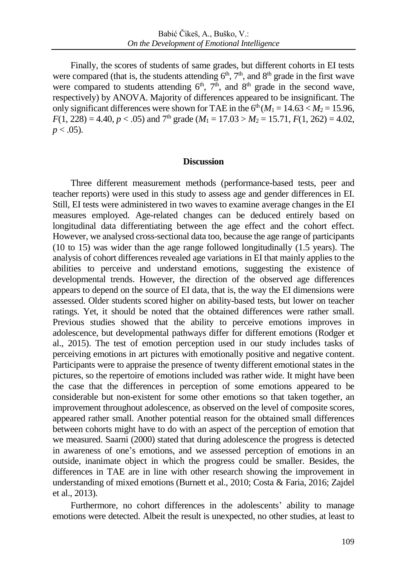Finally, the scores of students of same grades, but different cohorts in EI tests were compared (that is, the students attending  $6<sup>th</sup>$ ,  $7<sup>th</sup>$ , and  $8<sup>th</sup>$  grade in the first wave were compared to students attending  $6<sup>th</sup>$ ,  $7<sup>th</sup>$ , and  $8<sup>th</sup>$  grade in the second wave, respectively) by ANOVA. Majority of differences appeared to be insignificant. The only significant differences were shown for TAE in the  $6<sup>th</sup>(M_1 = 14.63 < M_2 = 15.96$ ,  $F(1, 228) = 4.40, p < .05$ ) and 7<sup>th</sup> grade (*M*<sub>1</sub> = 17.03 > *M*<sub>2</sub> = 15.71, *F*(1, 262) = 4.02,  $p < .05$ ).

# **Discussion**

Three different measurement methods (performance-based tests, peer and teacher reports) were used in this study to assess age and gender differences in EI. Still, EI tests were administered in two waves to examine average changes in the EI measures employed. Age-related changes can be deduced entirely based on longitudinal data differentiating between the age effect and the cohort effect. However, we analysed cross-sectional data too, because the age range of participants (10 to 15) was wider than the age range followed longitudinally (1.5 years). The analysis of cohort differences revealed age variations in EI that mainly applies to the abilities to perceive and understand emotions, suggesting the existence of developmental trends. However, the direction of the observed age differences appears to depend on the source of EI data, that is, the way the EI dimensions were assessed. Older students scored higher on ability-based tests, but lower on teacher ratings. Yet, it should be noted that the obtained differences were rather small. Previous studies showed that the ability to perceive emotions improves in adolescence, but developmental pathways differ for different emotions (Rodger et al., 2015). The test of emotion perception used in our study includes tasks of perceiving emotions in art pictures with emotionally positive and negative content. Participants were to appraise the presence of twenty different emotional states in the pictures, so the repertoire of emotions included was rather wide. It might have been the case that the differences in perception of some emotions appeared to be considerable but non-existent for some other emotions so that taken together, an improvement throughout adolescence, as observed on the level of composite scores, appeared rather small. Another potential reason for the obtained small differences between cohorts might have to do with an aspect of the perception of emotion that we measured. Saarni (2000) stated that during adolescence the progress is detected in awareness of one's emotions, and we assessed perception of emotions in an outside, inanimate object in which the progress could be smaller. Besides, the differences in TAE are in line with other research showing the improvement in understanding of mixed emotions (Burnett et al., 2010; Costa & Faria, 2016; Zajdel et al., 2013).

Furthermore, no cohort differences in the adolescents' ability to manage emotions were detected. Albeit the result is unexpected, no other studies, at least to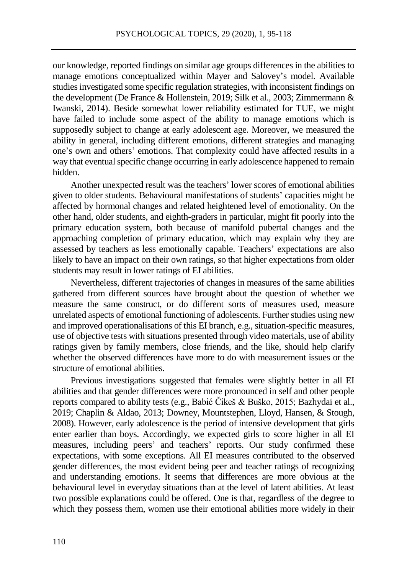our knowledge, reported findings on similar age groups differences in the abilities to manage emotions conceptualized within Mayer and Salovey's model. Available studies investigated some specific regulation strategies, with inconsistent findings on the development (De France & Hollenstein, 2019; Silk et al., 2003; Zimmermann & Iwanski, 2014). Beside somewhat lower reliability estimated for TUE, we might have failed to include some aspect of the ability to manage emotions which is supposedly subject to change at early adolescent age. Moreover, we measured the ability in general, including different emotions, different strategies and managing one's own and others' emotions. That complexity could have affected results in a way that eventual specific change occurring in early adolescence happened to remain hidden.

Another unexpected result was the teachers' lower scores of emotional abilities given to older students. Behavioural manifestations of students' capacities might be affected by hormonal changes and related heightened level of emotionality. On the other hand, older students, and eighth-graders in particular, might fit poorly into the primary education system, both because of manifold pubertal changes and the approaching completion of primary education, which may explain why they are assessed by teachers as less emotionally capable. Teachers' expectations are also likely to have an impact on their own ratings, so that higher expectations from older students may result in lower ratings of EI abilities.

Nevertheless, different trajectories of changes in measures of the same abilities gathered from different sources have brought about the question of whether we measure the same construct, or do different sorts of measures used, measure unrelated aspects of emotional functioning of adolescents. Further studies using new and improved operationalisations of this EI branch, e.g., situation-specific measures, use of objective tests with situations presented through video materials, use of ability ratings given by family members, close friends, and the like, should help clarify whether the observed differences have more to do with measurement issues or the structure of emotional abilities.

Previous investigations suggested that females were slightly better in all EI abilities and that gender differences were more pronounced in self and other people reports compared to ability tests (e.g., Babić Čikeš & Buško, 2015; Bazhydai et al., 2019; Chaplin & Aldao, 2013; Downey, Mountstephen, Lloyd, Hansen, & Stough, 2008). However, early adolescence is the period of intensive development that girls enter earlier than boys. Accordingly, we expected girls to score higher in all EI measures, including peers' and teachers' reports. Our study confirmed these expectations, with some exceptions. All EI measures contributed to the observed gender differences, the most evident being peer and teacher ratings of recognizing and understanding emotions. It seems that differences are more obvious at the behavioural level in everyday situations than at the level of latent abilities. At least two possible explanations could be offered. One is that, regardless of the degree to which they possess them, women use their emotional abilities more widely in their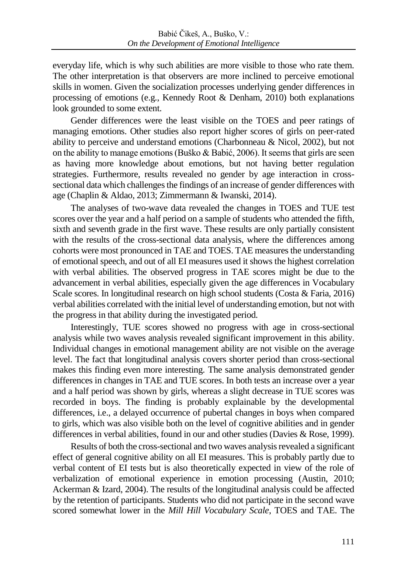everyday life, which is why such abilities are more visible to those who rate them. The other interpretation is that observers are more inclined to perceive emotional skills in women. Given the socialization processes underlying gender differences in processing of emotions (e.g., Kennedy Root & Denham, 2010) both explanations look grounded to some extent.

Gender differences were the least visible on the TOES and peer ratings of managing emotions. Other studies also report higher scores of girls on peer-rated ability to perceive and understand emotions (Charbonneau & Nicol, 2002), but not on the ability to manage emotions (Buško & Babić, 2006). It seems that girls are seen as having more knowledge about emotions, but not having better regulation strategies. Furthermore, results revealed no gender by age interaction in crosssectional data which challenges the findings of an increase of gender differences with age (Chaplin & Aldao, 2013; Zimmermann & Iwanski, 2014).

The analyses of two-wave data revealed the changes in TOES and TUE test scores over the year and a half period on a sample of students who attended the fifth, sixth and seventh grade in the first wave. These results are only partially consistent with the results of the cross-sectional data analysis, where the differences among cohorts were most pronounced in TAE and TOES. TAE measures the understanding of emotional speech, and out of all EI measures used it shows the highest correlation with verbal abilities. The observed progress in TAE scores might be due to the advancement in verbal abilities, especially given the age differences in Vocabulary Scale scores. In longitudinal research on high school students (Costa & Faria, 2016) verbal abilities correlated with the initial level of understanding emotion, but not with the progress in that ability during the investigated period.

Interestingly, TUE scores showed no progress with age in cross-sectional analysis while two waves analysis revealed significant improvement in this ability. Individual changes in emotional management ability are not visible on the average level. The fact that longitudinal analysis covers shorter period than cross-sectional makes this finding even more interesting. The same analysis demonstrated gender differences in changes in TAE and TUE scores. In both tests an increase over a year and a half period was shown by girls, whereas a slight decrease in TUE scores was recorded in boys. The finding is probably explainable by the developmental differences, i.e., a delayed occurrence of pubertal changes in boys when compared to girls, which was also visible both on the level of cognitive abilities and in gender differences in verbal abilities, found in our and other studies (Davies & Rose, 1999).

Results of both the cross-sectional and two waves analysis revealed a significant effect of general cognitive ability on all EI measures. This is probably partly due to verbal content of EI tests but is also theoretically expected in view of the role of verbalization of emotional experience in emotion processing (Austin, 2010; Ackerman & Izard, 2004). The results of the longitudinal analysis could be affected by the retention of participants. Students who did not participate in the second wave scored somewhat lower in the *Mill Hill Vocabulary Scale*, TOES and TAE. The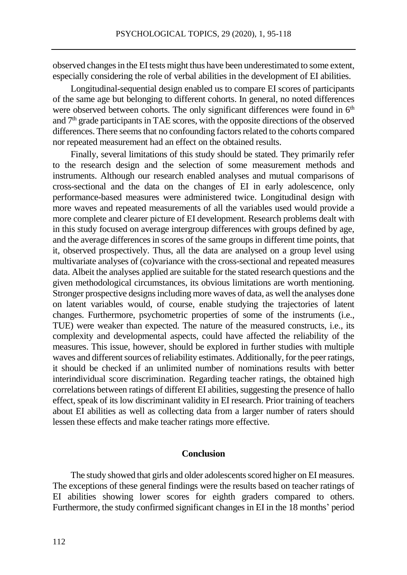observed changes in the EI tests might thus have been underestimated to some extent, especially considering the role of verbal abilities in the development of EI abilities.

Longitudinal-sequential design enabled us to compare EI scores of participants of the same age but belonging to different cohorts. In general, no noted differences were observed between cohorts. The only significant differences were found in  $6<sup>th</sup>$ and  $7<sup>th</sup>$  grade participants in TAE scores, with the opposite directions of the observed differences. There seems that no confounding factors related to the cohorts compared nor repeated measurement had an effect on the obtained results.

Finally, several limitations of this study should be stated. They primarily refer to the research design and the selection of some measurement methods and instruments. Although our research enabled analyses and mutual comparisons of cross-sectional and the data on the changes of EI in early adolescence, only performance-based measures were administered twice. Longitudinal design with more waves and repeated measurements of all the variables used would provide a more complete and clearer picture of EI development. Research problems dealt with in this study focused on average intergroup differences with groups defined by age, and the average differences in scores of the same groups in different time points, that it, observed prospectively. Thus, all the data are analysed on a group level using multivariate analyses of (co)variance with the cross-sectional and repeated measures data. Albeit the analyses applied are suitable for the stated research questions and the given methodological circumstances, its obvious limitations are worth mentioning. Stronger prospective designs including more waves of data, as well the analyses done on latent variables would, of course, enable studying the trajectories of latent changes. Furthermore, psychometric properties of some of the instruments (i.e., TUE) were weaker than expected. The nature of the measured constructs, i.e., its complexity and developmental aspects, could have affected the reliability of the measures. This issue, however, should be explored in further studies with multiple waves and different sources of reliability estimates. Additionally, for the peer ratings, it should be checked if an unlimited number of nominations results with better interindividual score discrimination. Regarding teacher ratings, the obtained high correlations between ratings of different EI abilities, suggesting the presence of hallo effect, speak of its low discriminant validity in EI research. Prior training of teachers about EI abilities as well as collecting data from a larger number of raters should lessen these effects and make teacher ratings more effective.

## **Conclusion**

The study showed that girls and older adolescents scored higher on EI measures. The exceptions of these general findings were the results based on teacher ratings of EI abilities showing lower scores for eighth graders compared to others. Furthermore, the study confirmed significant changes in EI in the 18 months' period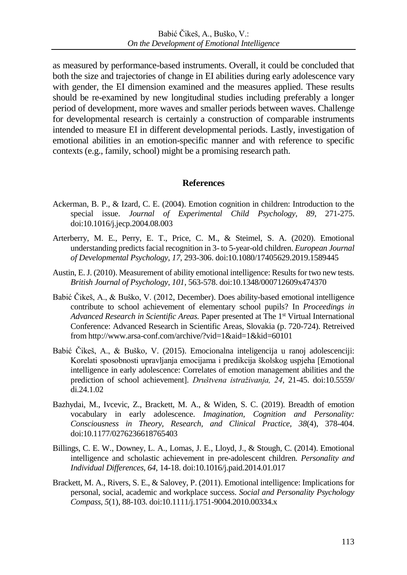as measured by performance-based instruments. Overall, it could be concluded that both the size and trajectories of change in EI abilities during early adolescence vary with gender, the EI dimension examined and the measures applied. These results should be re-examined by new longitudinal studies including preferably a longer period of development, more waves and smaller periods between waves. Challenge for developmental research is certainly a construction of comparable instruments intended to measure EI in different developmental periods. Lastly, investigation of emotional abilities in an emotion-specific manner and with reference to specific contexts (e.g., family, school) might be a promising research path.

#### **References**

- Ackerman, B. P., & Izard, C. E. (2004). Emotion cognition in children: Introduction to the special issue. *Journal of Experimental Child Psychology, 89*, 271-275. do[i:10.1016/j.jecp.2004.08.003](http://dx.doi.org/10.1016/j.jecp.2004.08.003)
- Arterberry, M. E., Perry, E. T., Price, C. M., & Steimel, S. A. (2020). Emotional understanding predicts facial recognition in 3- to 5-year-old children. *European Journal of Developmental Psychology, 17*, 293-306. doi:10.1080/17405629.2019.1589445
- Austin, E. J. (2010). Measurement of ability emotional intelligence: Results for two new tests. *British Journal of Psychology, 101*, 563-578. doi[:10.1348/000712609x474370](http://dx.doi.org/10.1348/000712609x474370)
- Babić Čikeš, A., & Buško, V. (2012, December). Does ability-based emotional intelligence contribute to school achievement of elementary school pupils? In *Proceedings in*  Advanced Research in Scientific Areas. Paper presented at The 1<sup>st</sup> Virtual International Conference: Advanced Research in Scientific Areas, Slovakia (p. 720-724). Retreived from http://www.arsa-conf.com/archive/?vid=1&aid=1&kid=60101
- Babić Čikeš, A., & Buško, V. (2015). Emocionalna inteligencija u ranoj adolescenciji: Korelati sposobnosti upravljanja emocijama i predikcija školskog uspjeha [Emotional intelligence in early adolescence: Correlates of emotion management abilities and the prediction of school achievement]. *Društvena istraživanja, 24*, 21-45. doi:10.5559/ di.24.1.02
- Bazhydai, M., Ivcevic, Z., Brackett, M. A., & Widen, S. C. (2019). Breadth of emotion vocabulary in early adolescence. *Imagination, Cognition and Personality: Consciousness in Theory, Research, and Clinical Practice, 38*(4), 378-404. doi:10.1177/0276236618765403
- Billings, C. E. W., Downey, L. A., Lomas, J. E., Lloyd, J., & Stough, C. (2014). Emotional intelligence and scholastic achievement in pre-adolescent children. *Personality and Individual Differences*, *64*, 14-18. doi:10.1016/j.paid.2014.01.017
- Brackett, M. A., Rivers, S. E., & Salovey, P. (2011). Emotional intelligence: Implications for personal, social, academic and workplace success. *Social and Personality Psychology Compass*, *5*(1)*,* 88-103. doi:[10.1111/j.1751-9004.2010.00334.x](http://dx.doi.org/10.1111/j.1751-9004.2010.00334.x)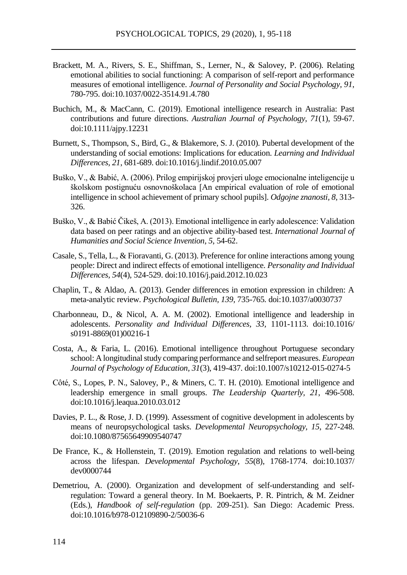- Brackett, M. A., Rivers, S. E., Shiffman, S., Lerner, N., & Salovey, P. (2006). Relating emotional abilities to social functioning: A comparison of self-report and performance measures of emotional intelligence. *Journal of Personality and Social Psychology, 91*, 780-795. do[i:10.1037/0022-3514.91.4.780](https://doi.org/10.1037/0022-3514.91.4.780)
- Buchich, M., & MacCann, C. (2019). Emotional intelligence research in Australia: Past contributions and future directions. *Australian Journal of Psychology, 71*(1), 59-67. do[i:10.1111/ajpy.12231](https://doi.org/10.1111/ajpy.12231)
- Burnett, S., Thompson, S., Bird, G., & Blakemore, S. J. (2010). Pubertal development of the understanding of social emotions: Implications for education. *Learning and Individual Differences, 21*, 681-689. doi[:10.1016/j.lindif.2010.05.007](http://dx.doi.org/10.1016/j.lindif.2010.05.007)
- Buško, V., & Babić, A. (2006). Prilog empirijskoj provjeri uloge emocionalne inteligencije u školskom postignuću osnovnoškolaca [An empirical evaluation of role of emotional intelligence in school achievement of primary school pupils]. *Odgojne znanosti, 8*, 313- 326.
- Buško, V., & Babić Čikeš, A. (2013). Emotional intelligence in early adolescence: Validation data based on peer ratings and an objective ability-based test. *International Journal of Humanities and Social Science Invention*, *5*, 54-62.
- Casale, S., Tella, L., & Fioravanti, G. (2013). Preference for online interactions among young people: Direct and indirect effects of emotional intelligence. *Personality and Individual Differences, 54*(4), 524-529. doi[:10.1016/j.paid.2012.10.023](http://dx.doi.org/10.1016/j.paid.2012.10.023)
- Chaplin, T., & Aldao, A. (2013). Gender differences in emotion expression in children: A meta-analytic review. *Psychological Bulletin, 139,* 735-765*.* [doi:10.1037/a0030737](https://doi.org/10.1037/a0030737)
- Charbonneau, D., & Nicol, A. A. M. (2002). Emotional intelligence and leadership in adolescents. *Personality and Individual Differences, 33,* 1101-1113. do[i:10.1016/](http://dx.doi.org/10.1016/s0191-8869%2801%2900216-1) [s0191-8869\(01\)00216-1](http://dx.doi.org/10.1016/s0191-8869%2801%2900216-1)
- Costa, A., & Faria, L. (2016). Emotional intelligence throughout Portuguese secondary school: A longitudinal study comparing performance and selfreport measures. *European Journal of Psychology of Education, 31*(3), 419-437. doi:10.1007/s10212-015-0274-5
- Côté, S., Lopes, P. N., Salovey, P., & Miners, C. T. H. (2010). Emotional intelligence and leadership emergence in small groups. *The Leadership Quarterly, 21*, 496-508. do[i:10.1016/j.leaqua.2010.03.012](http://dx.doi.org/10.1016/j.leaqua.2010.03.012)
- Davies, P. L., & Rose, J. D. (1999). Assessment of cognitive development in adolescents by means of neuropsychological tasks. *Developmental Neuropsychology, 15*, 227-248. do[i:10.1080/87565649909540747](http://dx.doi.org/10.1080/87565649909540747)
- De France, K., & Hollenstein, T. (2019). Emotion regulation and relations to well-being across the lifespan. *Developmental Psychology*, *55*(8), 1768-1774. doi:10.1037/ dev0000744
- Demetriou, A. (2000). Organization and development of self-understanding and selfregulation: Toward a general theory. In M. Boekaerts, P. R. Pintrich, & M. Zeidner (Eds.), *Handbook of self-regulation* (pp. 209-251). San Diego: Academic Press. do[i:10.1016/b978-012109890-2/50036-6](http://dx.doi.org/10.1016/b978-012109890-2/50036-6)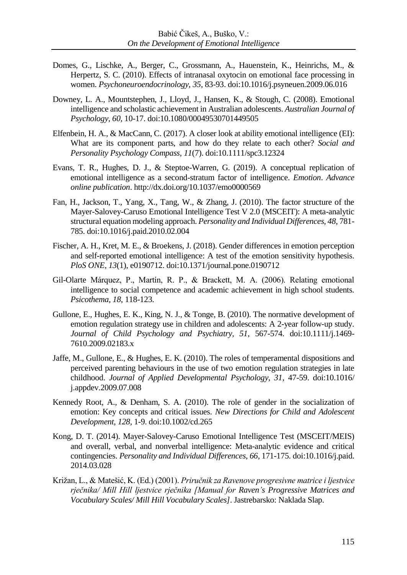- Domes, G., Lischke, A., Berger, C., Grossmann, A., Hauenstein, K., Heinrichs, M., & Herpertz, S. C. (2010). Effects of intranasal oxytocin on emotional face processing in women. *Psychoneuroendocrinology*, *35*, 83-93[. doi:10.1016/j.psyneuen.2009.06.016](http://dx.doi.org/10.1016/j.psyneuen.2009.06.016)
- Downey, L. A., Mountstephen, J., Lloyd, J., Hansen, K., & Stough, C. (2008). Emotional intelligence and scholastic achievement in Australian adolescents. *Australian Journal of Psychology, 60,* 10-17. doi:10.1080/00049530701449505
- Elfenbein, H. A., & MacCann, C. (2017). A closer look at ability emotional intelligence (EI): What are its component parts, and how do they relate to each other? *Social and Personality Psychology Compass, 11*(7). doi:10.1111/spc3.12324
- Evans, T. R., Hughes, D. J., & Steptoe-Warren, G. (2019). A conceptual replication of emotional intelligence as a second-stratum factor of intelligence. *Emotion*. *Advance online publication*. http://dx.doi.org/10.1037/emo0000569
- Fan, H., Jackson, T., Yang, X., Tang, W., & Zhang, J. (2010). The factor structure of the Mayer-Salovey-Caruso Emotional Intelligence Test V 2.0 (MSCEIT): A meta-analytic structural equation modeling approach. *Personality and Individual Differences, 48*, 781- 785. [doi:10.1016/j.paid.2010.02.004](http://dx.doi.org/10.1016/j.paid.2010.02.004)
- Fischer, A. H., Kret, M. E., & Broekens, J. (2018). Gender differences in emotion perception and self-reported emotional intelligence: A test of the emotion sensitivity hypothesis. *PloS ONE*, *13*(1), e0190712. doi:10.1371/journal.pone.0190712
- Gil-Olarte Márquez, P., Martín, R. P., & Brackett, M. A. (2006). Relating emotional intelligence to social competence and academic achievement in high school students. *Psicothema, 18*, 118-123.
- Gullone, E., Hughes, E. K., King, N. J., & Tonge, B. (2010). The normative development of emotion regulation strategy use in children and adolescents: A 2-year follow-up study. *Journal of Child Psychology and Psychiatry, 51*, 567-574. doi:10.1111/j.1469- 7610.2009.02183.x
- Jaffe, M., Gullone, E., & Hughes, E. K. (2010). The roles of temperamental dispositions and perceived parenting behaviours in the use of two emotion regulation strategies in late childhood. *Journal of Applied Developmental Psychology, 31*, 47-59. do[i:10.1016/](http://dx.doi.org/10.1016/j.appdev.2009.07.008) [j.appdev.2009.07.008](http://dx.doi.org/10.1016/j.appdev.2009.07.008)
- Kennedy Root, A., & Denham, S. A. (2010). The role of gender in the socialization of emotion: Key concepts and critical issues. *New Directions for Child and Adolescent Development, 128,* 1-9. doi[:10.1002/cd.265](http://dx.doi.org/10.1002/cd.265)
- Kong, D. T. (2014). Mayer-Salovey-Caruso Emotional Intelligence Test (MSCEIT/MEIS) and overall, verbal, and nonverbal intelligence: Meta-analytic evidence and critical contingencies. *Personality and Individual Differences, 66*, 171-175. [doi:10.1016/j.paid.](http://dx.doi.org/10.1016/j.paid.2014.03.028) [2014.03.028](http://dx.doi.org/10.1016/j.paid.2014.03.028)
- Križan, L., & Matešić, K. (Ed.) (2001). *Priručnik za Ravenove progresivne matrice i ljestvice rječnika/ Mill Hill ljestvice rječnika [Manual for Raven's Progressive Matrices and Vocabulary Scales/ Mill Hill Vocabulary Scales]*. Jastrebarsko: Naklada Slap.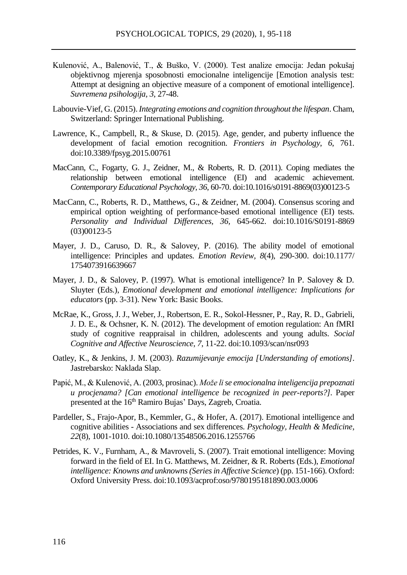- Kulenović, A., Balenović, T., & Buško, V. (2000). Test analize emocija: Jedan pokušaj objektivnog mjerenja sposobnosti emocionalne inteligencije [Emotion analysis test: Attempt at designing an objective measure of a component of emotional intelligence]. *Suvremena psihologija, 3*, 27-48.
- Labouvie-Vief, G. (2015). *Integrating emotions and cognition throughout the lifespan*. Cham, Switzerland: Springer International Publishing.
- Lawrence, K., Campbell, R., & Skuse, D. (2015). Age, gender, and puberty influence the development of facial emotion recognition. *Frontiers in Psychology*, *6*, 761. do[i:10.3389/fpsyg.2015.00761](https://doi.org/10.3389/fpsyg.2015.00761)
- MacCann, C., Fogarty, G. J., Zeidner, M., & Roberts, R. D. (2011). Coping mediates the relationship between emotional intelligence (EI) and academic achievement. *Contemporary Educational Psychology, 36*, 60-70[. doi:10.1016/s0191-8869\(03\)00123-5](http://dx.doi.org/10.1016/s0191-8869%2803%2900123-5)
- MacCann, C., Roberts, R. D., Matthews, G., & Zeidner, M. (2004). Consensus scoring and empirical option weighting of performance-based emotional intelligence (EI) tests. *Personality and Individual Differences, 36,* 645-662. [doi:10.1016/S0191-8869](http://dx.doi.org/10.1016/S0191-8869%2803%2900123-5) [\(03\)00123-5](http://dx.doi.org/10.1016/S0191-8869%2803%2900123-5)
- Mayer, J. D., Caruso, D. R., & Salovey, P. (2016). The ability model of emotional intelligence: Principles and updates. *Emotion Review, 8*(4), 290-300. doi:10.1177/ 1754073916639667
- Mayer, J. D., & Salovey, P. (1997). What is emotional intelligence? In P. Salovey & D. Sluyter (Eds.), *Emotional development and emotional intelligence: Implications for educators* (pp. 3-31). New York: Basic Books.
- McRae, K., Gross, J. J., Weber, J., Robertson, E. R., Sokol-Hessner, P., Ray, R. D., Gabrieli, J. D. E., & Ochsner, K. N. (2012). The development of emotion regulation: An fMRI study of cognitive reappraisal in children, adolescents and young adults. *Social Cognitive and Affective Neuroscience, 7*, 11-22. do[i:10.1093/scan/nsr093](https://dx.doi.org/10.1093%2Fscan%2Fnsr093)
- Oatley, K., & Jenkins, J. M. (2003). *Razumijevanje emocija [Understanding of emotions]*. Jastrebarsko: Naklada Slap.
- Papić, M., & Kulenović, A. (2003, prosinac). *Može lise emocionalna inteligencija prepoznati u procjenama? [Can emotional intelligence be recognized in peer-reports?].* Paper presented at the 16<sup>th</sup> Ramiro Bujas' Days, Zagreb, Croatia.
- Pardeller, S., Frajo-Apor, B., Kemmler, G., & Hofer, A. (2017). Emotional intelligence and cognitive abilities - Associations and sex differences. *Psychology, Health & Medicine*, *22*(8), 1001-1010. doi[:10.1080/13548506.2016.1255766](http://dx.doi.org/10.1080/13548506.2016.1255766)
- Petrides, K. V., Furnham, A., & Mavroveli, S. (2007). Trait emotional intelligence: Moving forward in the field of EI. In G. Matthews, M. Zeidner, & R. Roberts (Eds.), *Emotional intelligence: Knowns and unknowns (Series in Affective Science*) (pp. 151-166). Oxford: Oxford University Press. [doi:10.1093/acprof:oso/9780195181890.003.0006](http://dx.doi.org/10.1093/acprof:oso/9780195181890.003.0006)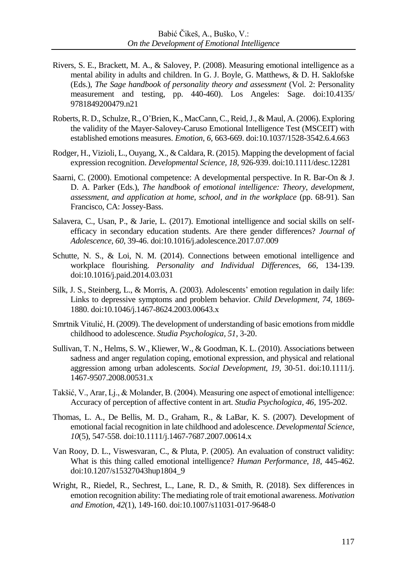- Rivers, S. E., Brackett, M. A., & Salovey, P. (2008). Measuring emotional intelligence as a mental ability in adults and children. In G. J. Boyle, G. Matthews, & D. H. Saklofske (Eds.), *The Sage handbook of personality theory and assessment* (Vol. 2: Personality measurement and testing, pp. 440-460). Los Angeles: Sage. [doi:10.4135/](http://dx.doi.org/10.4135/9781849200479.n21) [9781849200479.n21](http://dx.doi.org/10.4135/9781849200479.n21)
- Roberts, R. D., Schulze, R., O'Brien, K., MacCann, C., Reid, J., & Maul, A. (2006). Exploring the validity of the Mayer-Salovey-Caruso Emotional Intelligence Test (MSCEIT) with established emotions measures. *Emotion, 6,* 663-669[. doi:10.1037/1528-3542.6.4.663](https://doi.org/10.1037/1528-3542.6.4.663)
- Rodger, H., Vizioli, L., Ouyang, X., & Caldara, R. (2015). Mapping the development of facial expression recognition. *Developmental Science, 18*, 926-939. doi:10.1111/desc.12281
- Saarni, C. (2000). Emotional competence: A developmental perspective. In R. Bar-On & J. D. A. Parker (Eds.), *The handbook of emotional intelligence: Theory, development, assessment, and application at home, school, and in the workplace* (pp. 68-91). San Francisco, CA: Jossey-Bass.
- Salavera, C., Usan, P., & Jarie, L. (2017). Emotional intelligence and social skills on selfefficacy in secondary education students. Are there gender differences? *Journal of Adolescence*, *60*, 39-46. doi[:10.1016/j.adolescence.2017.07.009](http://dx.doi.org/10.1016/j.adolescence.2017.07.009)
- Schutte, N. S., & Loi, N. M. (2014). Connections between emotional intelligence and workplace flourishing. *Personality and Individual Differences*, *66*, 134-139. do[i:10.1016/j.paid.2014.03.031](http://dx.doi.org/10.1016/j.paid.2014.03.031)
- Silk, J. S., Steinberg, L., & Morris, A. (2003). Adolescents' emotion regulation in daily life: Links to depressive symptoms and problem behavior. *Child Development, 74*, 1869- 1880. doi:10.1046/j.1467-8624.2003.00643.x
- Smrtnik Vitulić, H. (2009). The development of understanding of basic emotions from middle childhood to adolescence. *Studia Psychologica, 51*, 3-20.
- Sullivan, T. N., Helms, S. W., Kliewer, W., & Goodman, K. L. (2010). Associations between sadness and anger regulation coping, emotional expression, and physical and relational aggression among urban adolescents. *Social Development, 19*, 30-51. doi:10.1111/j. 1467-9507.2008.00531.x
- Takšić, V., Arar, Lj., & Molander, B. (2004). Measuring one aspect of emotional intelligence: Accuracy of perception of affective content in art. *Studia Psychologica, 46*, 195-202.
- Thomas, L. A., De Bellis, M. D., Graham, R., & LaBar, K. S. (2007). Development of emotional facial recognition in late childhood and adolescence. *Developmental Science*, *10*(5), 547-558. doi:10.1111/j.1467-7687.2007.00614.x
- Van Rooy, D. L., Viswesvaran, C., & Pluta, P. (2005). An evaluation of construct validity: What is this thing called emotional intelligence? *Human Performance, 18*, 445-462. [doi:10.1207/s15327043hup1804\\_9](http://dx.doi.org/10.1207/s15327043hup1804_9)
- Wright, R., Riedel, R., Sechrest, L., Lane, R. D., & Smith, R. (2018). Sex differences in emotion recognition ability: The mediating role of trait emotional awareness. *Motivation and Emotion*, *42*(1), 149-160. do[i:10.1007/s11031-017-9648-0](http://dx.doi.org/10.1007/s11031-017-9648-0)